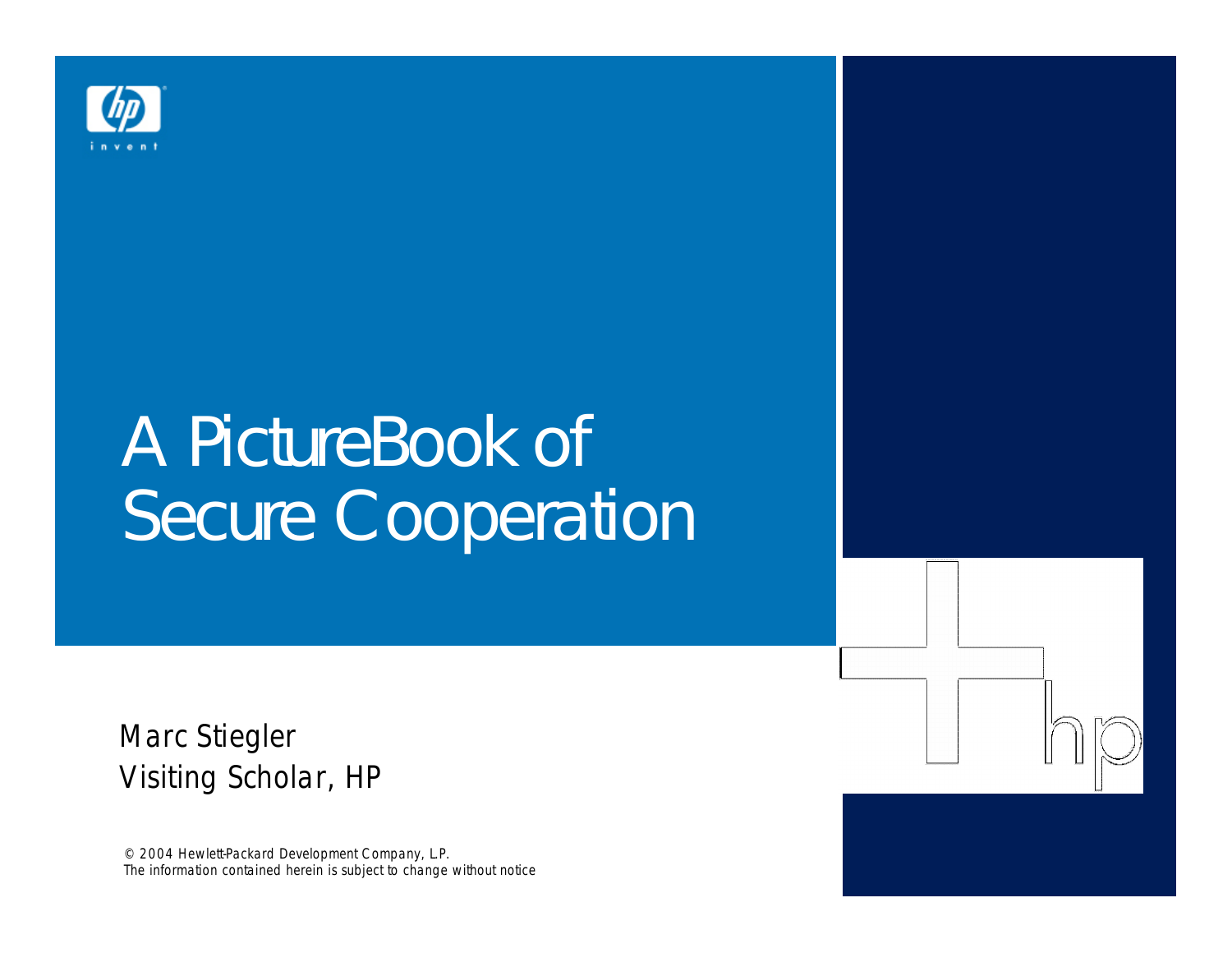

# A PictureBook of Secure Cooperation

Marc Stiegler Visiting Scholar, HP

© 2004 Hewlett-Packard Development Company, L.P. The information contained herein is subject to change without notice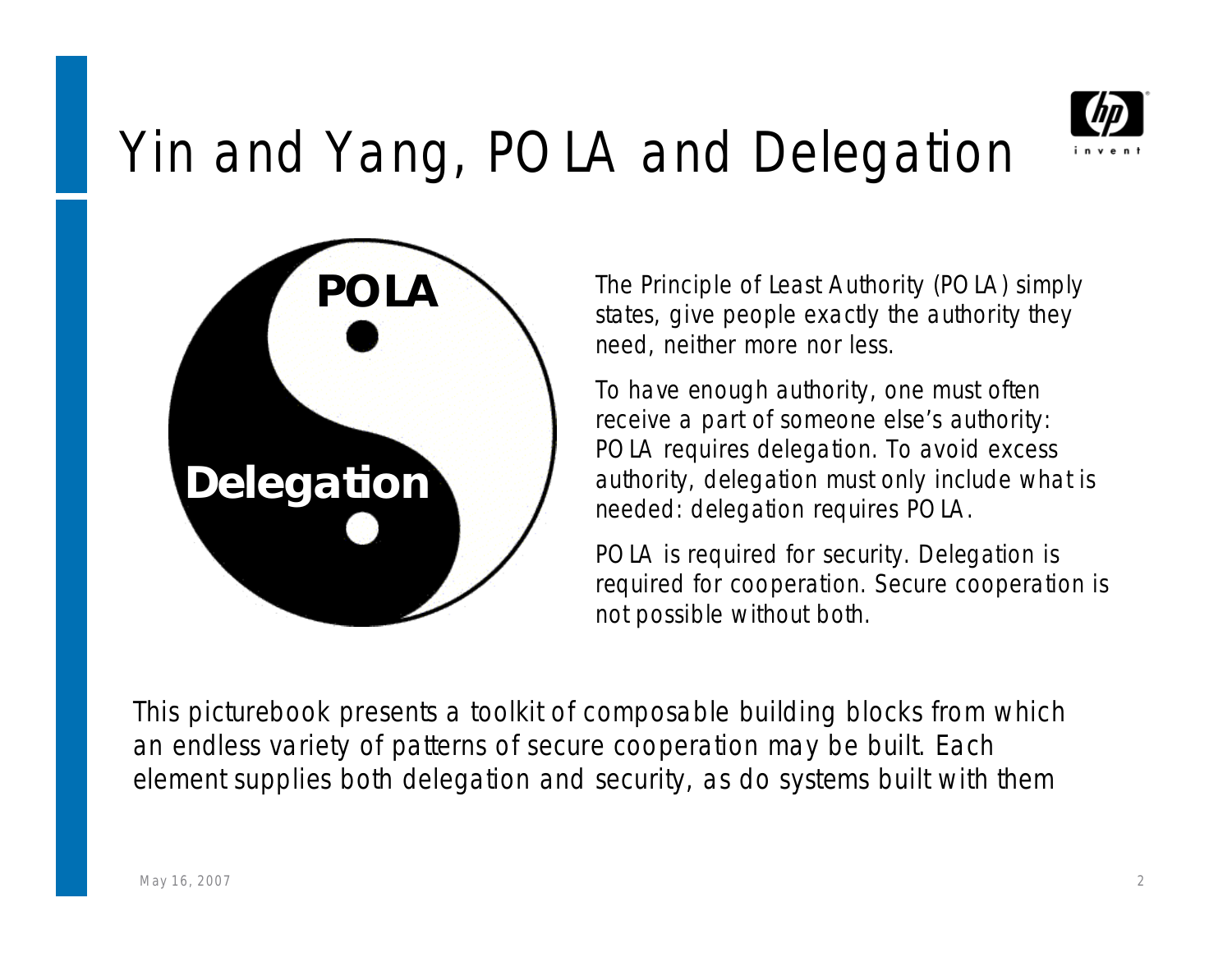

### Yin and Yang, POLA and Delegation



The Principle of Least Authority (POLA) simply states, give people exactly the authority they need, neither more nor less.

To have *enough* authority, one must often receive a part of someone else's authority: POLA requires delegation. To avoid *excess* authority, delegation must only include what is needed: delegation requires POLA.

POLA is required for security. Delegation is required for cooperation. Secure cooperation is not possible without both.

This picturebook presents a toolkit of composable building blocks from which an endless variety of patterns of secure cooperation may be built. Each element supplies both delegation and security, as do systems built with them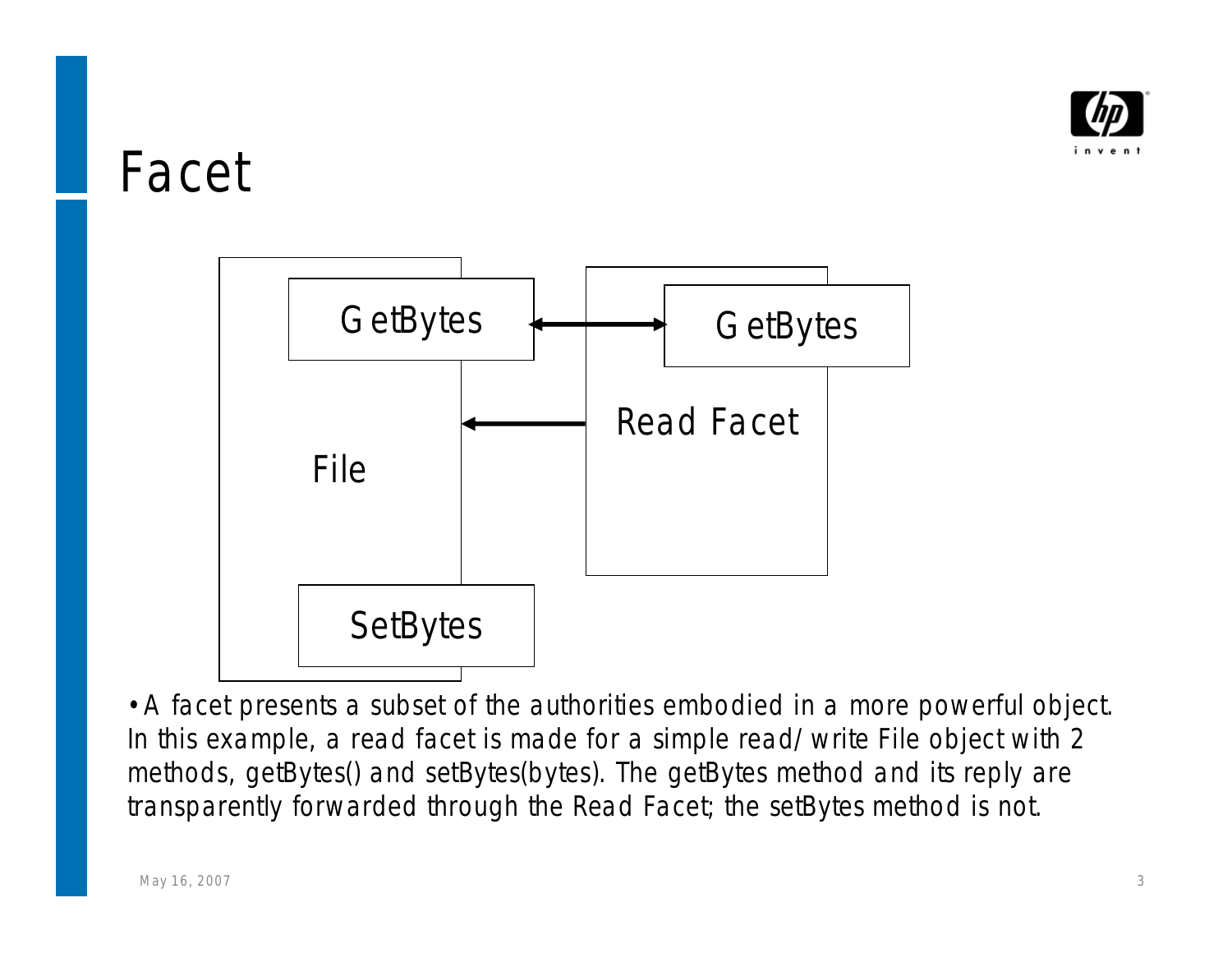

#### Facet



•A *facet* presents a subset of the authorities embodied in a more powerful object. In this example, a read facet is made for a simple read/write File object with 2 methods, getBytes() and setBytes(bytes). The getBytes method and its reply are transparently forwarded through the Read Facet; the setBytes method is not.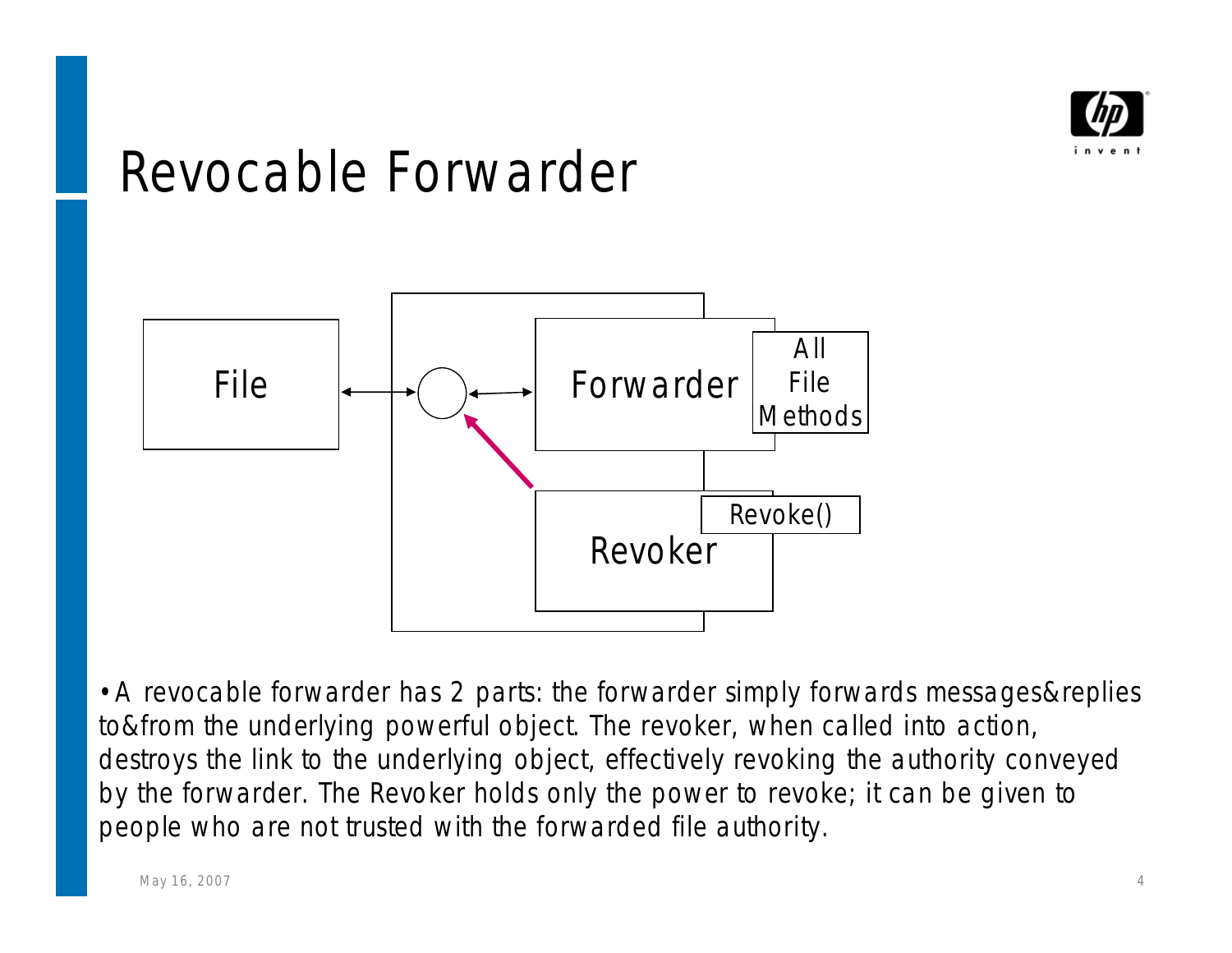

#### Revocable Forwarder



•A revocable forwarder has 2 parts: the forwarder simply forwards messages&replies to&from the underlying powerful object. The revoker, when called into action, destroys the link to the underlying object, effectively revoking the authority conveyed by the forwarder. The Revoker holds only the power to revoke; it can be given to people who are not trusted with the forwarded file authority.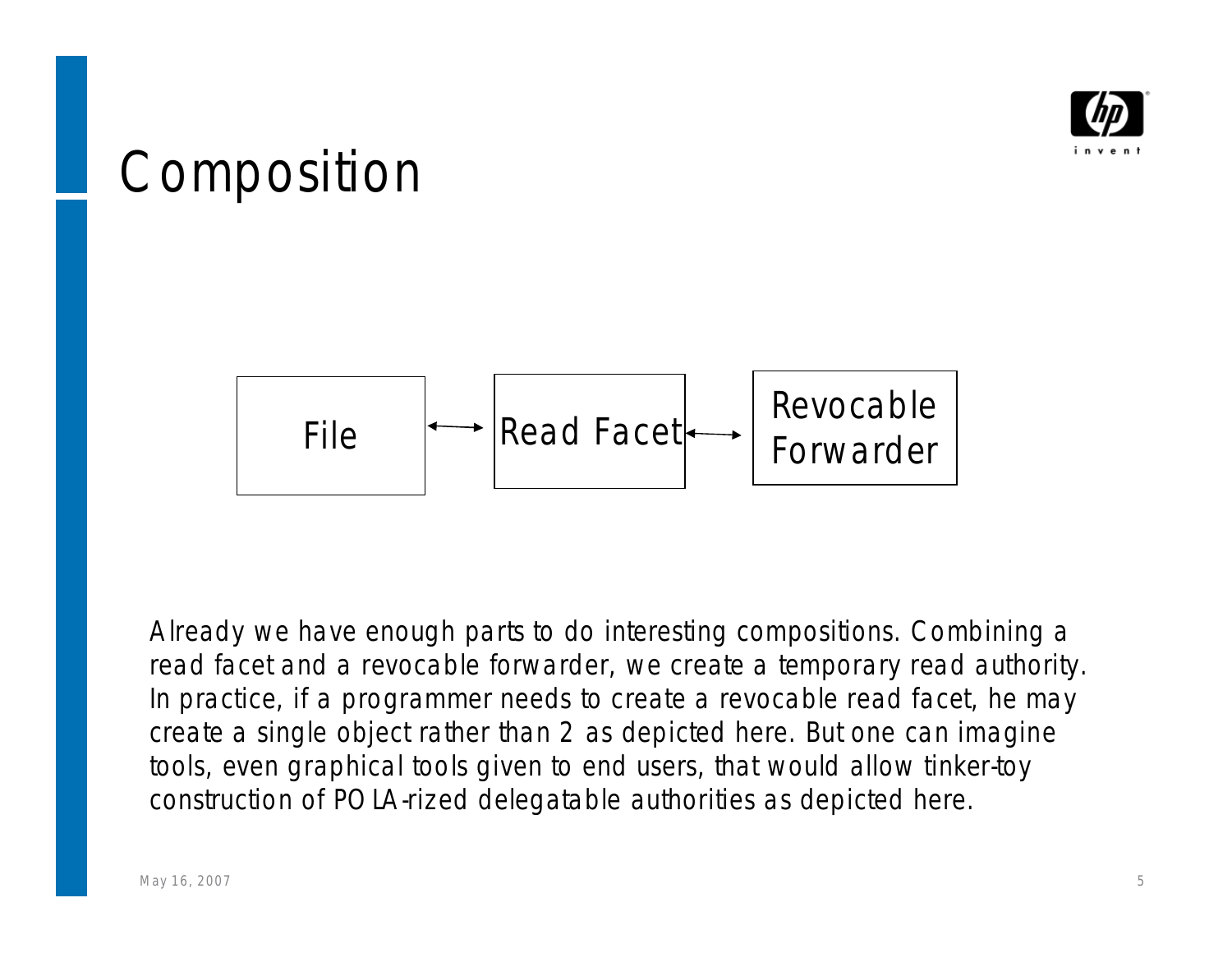

#### Composition



Already we have enough parts to do interesting compositions. Combining a read facet and a revocable forwarder, we create a temporary read authority. In practice, if a programmer needs to create a revocable read facet, he may create a single object rather than 2 as depicted here. But one can imagine tools, even graphical tools given to end users, that would allow tinker-toy construction of POLA-rized delegatable authorities as depicted here.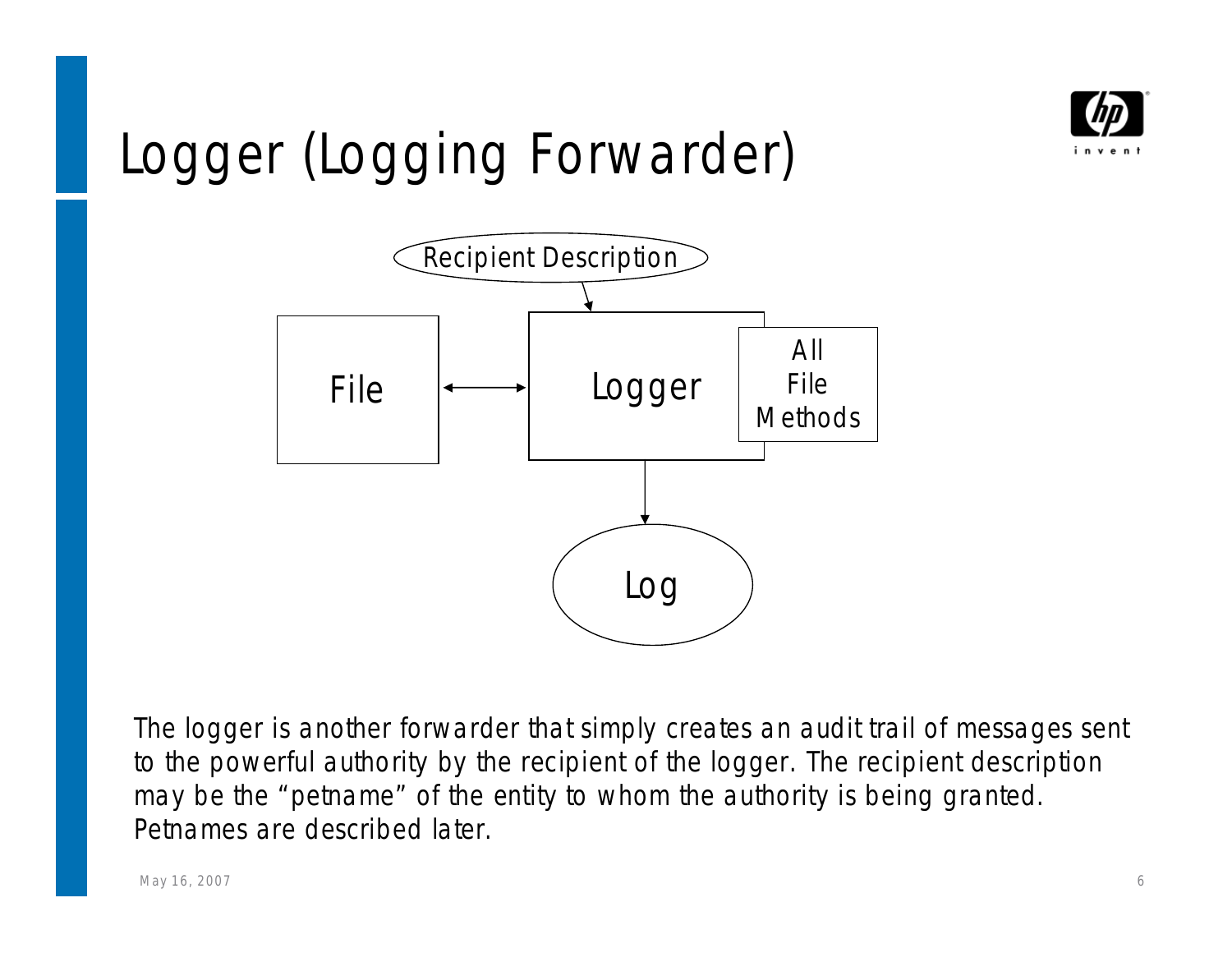

# Logger (Logging Forwarder)



The logger is another forwarder that simply creates an audit trail of messages sent to the powerful authority by the recipient of the logger. The recipient description may be the "petname" of the entity to whom the authority is being granted. Petnames are described later.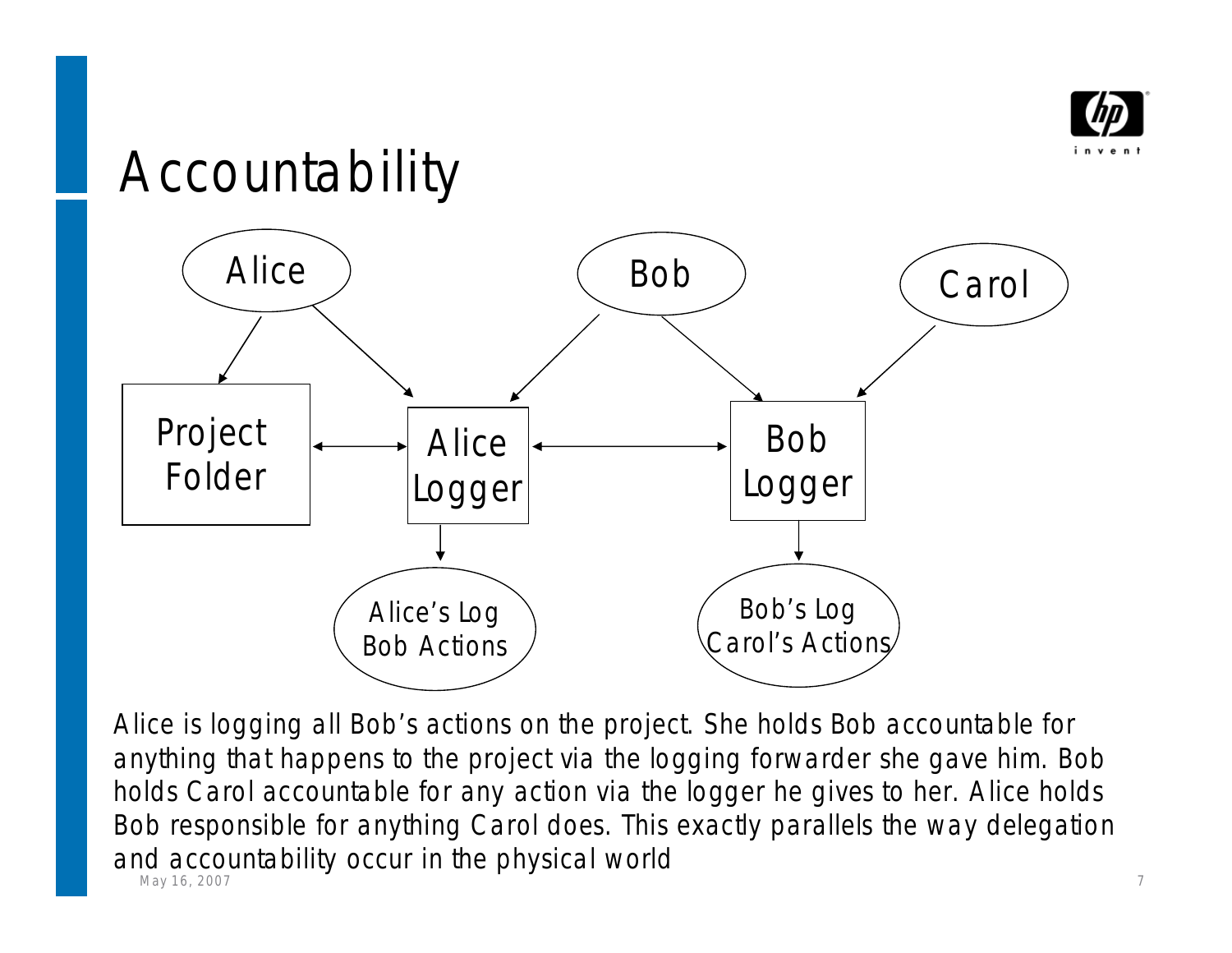

### Accountability



May 16, 2007 7 Alice is logging all Bob's actions on the project. She holds Bob accountable for anything that happens to the project via the logging forwarder she gave him. Bob holds Carol accountable for any action via the logger he gives to her. Alice holds Bob responsible for anything Carol does. This exactly parallels the way delegation and accountability occur in the physical world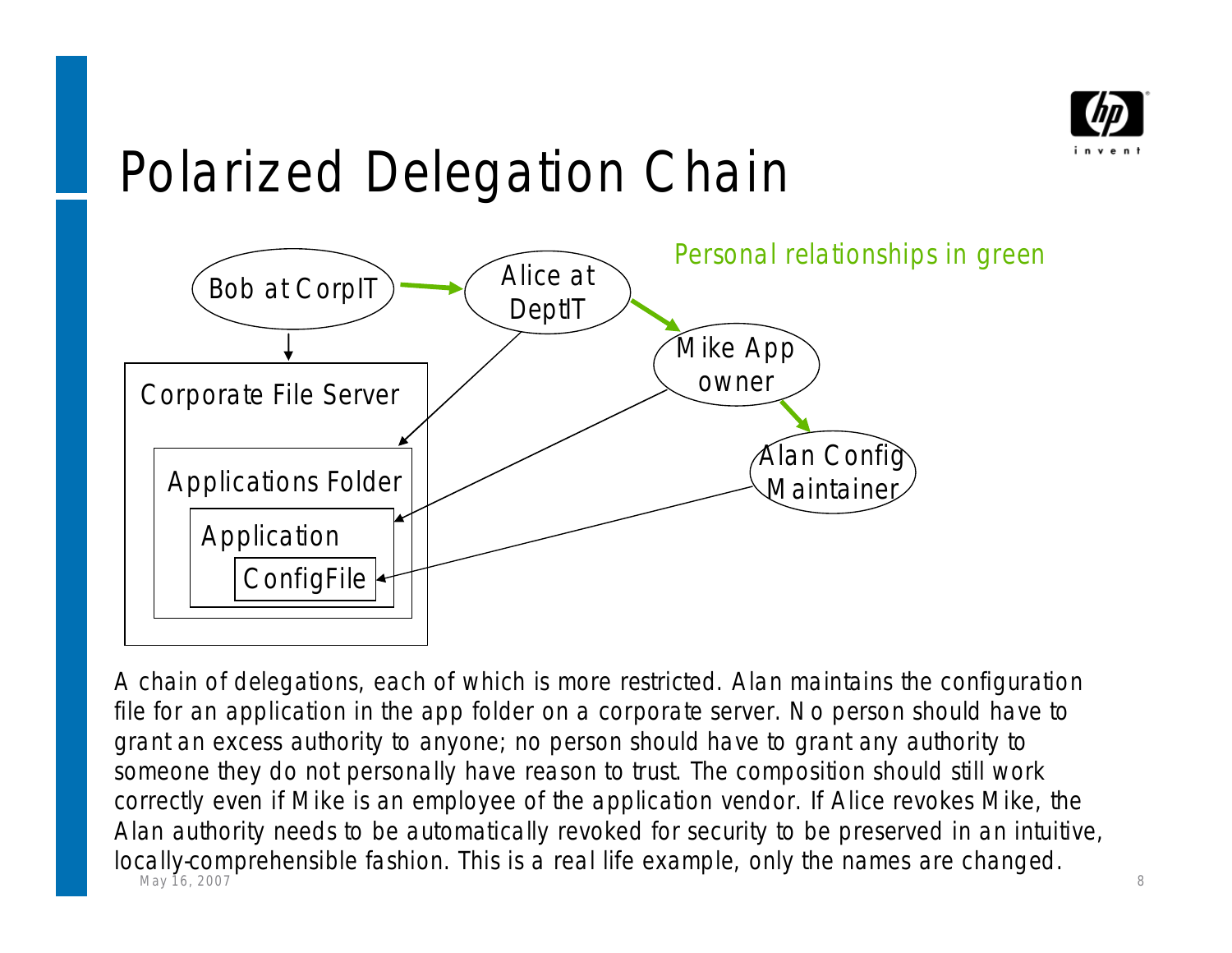

# Polarized Delegation Chain



May 16, 2007 **8** 8 A chain of delegations, each of which is more restricted. Alan maintains the configuration file for an application in the app folder on a corporate server. No person should have to grant an excess authority to anyone; no person should have to grant any authority to someone they do not personally have reason to trust. The composition should still work correctly even if Mike is an employee of the application vendor. If Alice revokes Mike, the Alan authority needs to be automatically revoked for security to be preserved in an intuitive, locally-comprehensible fashion. This is a real life example, only the names are changed.<br>May 16, 2007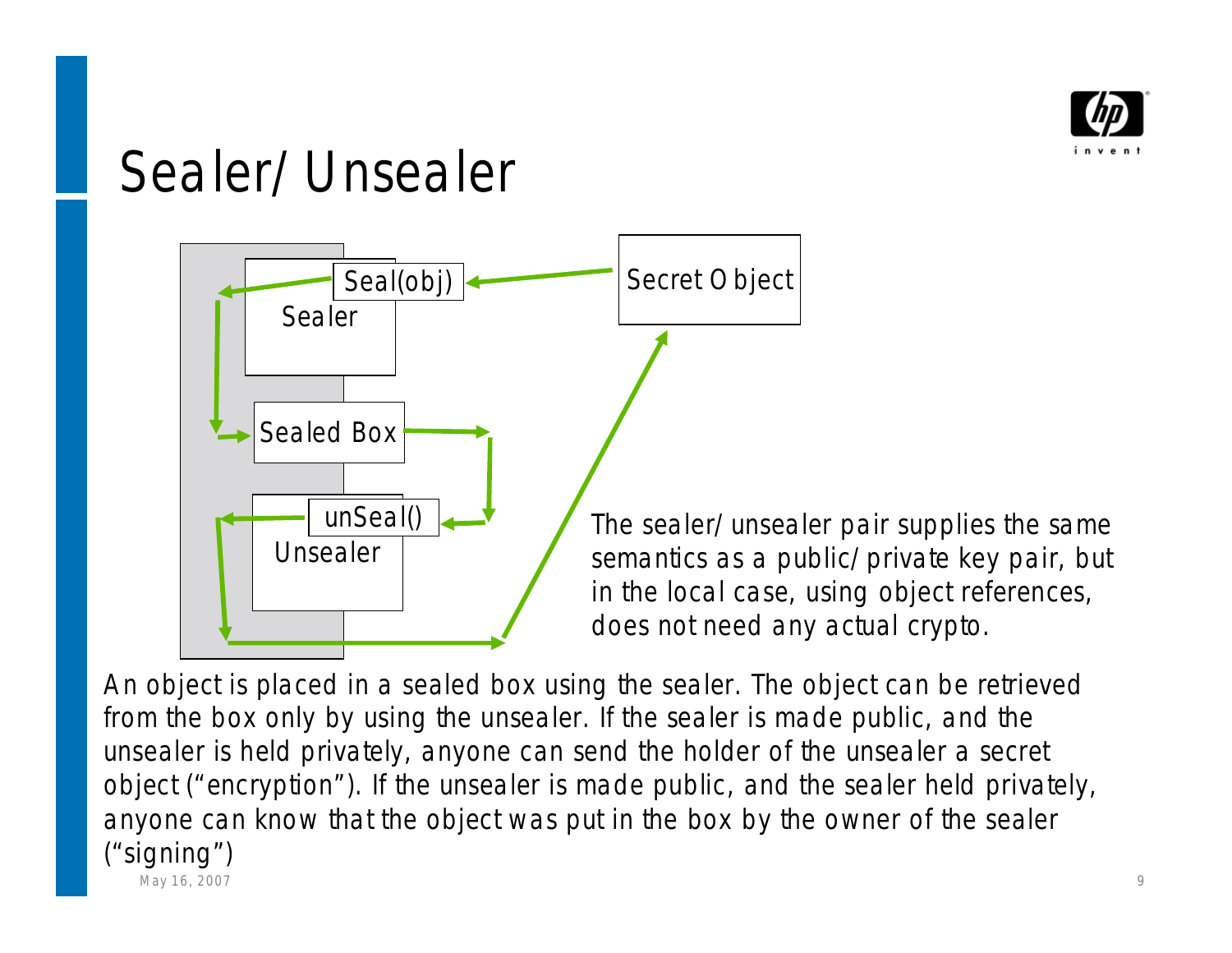

#### Sealer/Unsealer



semantics as a public/private key pair, but in the local case, using object references, does not need any actual crypto.

May 16, 2007 9 An object is placed in a sealed box using the sealer. The object can be retrieved from the box only by using the unsealer. If the sealer is made public, and the unsealer is held privately, anyone can send the holder of the unsealer a secret object ("encryption"). If the unsealer is made public, and the sealer held privately, anyone can know that the object was put in the box by the owner of the sealer ("signing")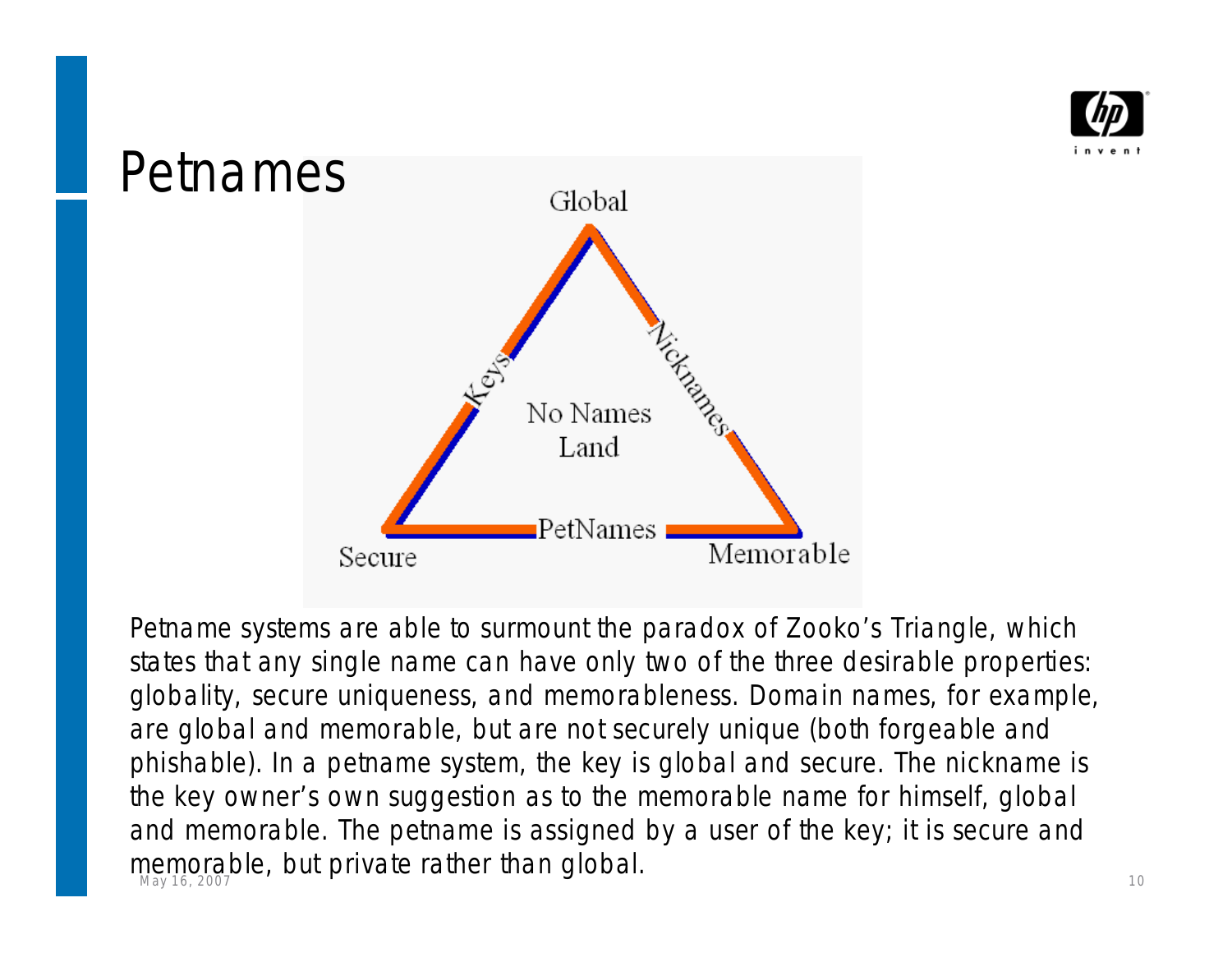



memorable, but private rather than global.<br>May 16, 2007 Petname systems are able to surmount the paradox of Zooko's Triangle, which states that any single name can have only two of the three desirable properties: globality, secure uniqueness, and memorableness. Domain names, for example, are global and memorable, but are not securely unique (both forgeable and phishable). In a petname system, the key is global and secure. The nickname is the key owner's own suggestion as to the memorable name for himself, global and memorable. The petname is assigned by a user of the key; it is secure and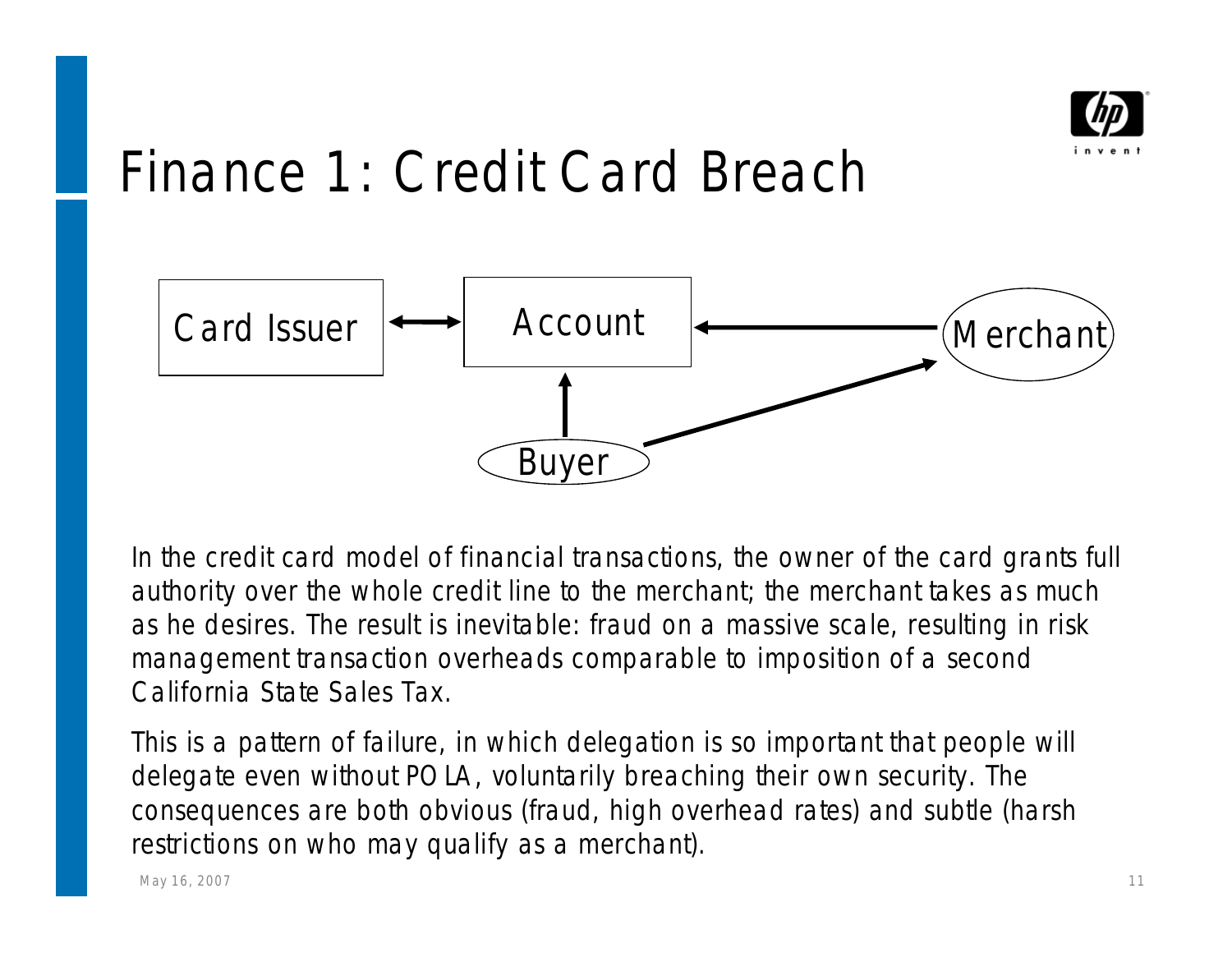

### Finance 1: Credit Card Breach



In the credit card model of financial transactions, the owner of the card grants full authority over the whole credit line to the merchant; the merchant takes as much as he desires. The result is inevitable: fraud on a massive scale, resulting in risk management transaction overheads comparable to imposition of a second California State Sales Tax.

This is a pattern of failure, in which delegation is so important that people will delegate even without POLA, voluntarily breaching their own security. The consequences are both obvious (fraud, high overhead rates) and subtle (harsh restrictions on who may qualify as a merchant).

May 16, 2007 **11 No. 2008** 12:00 12:00 12:00 12:00 12:00 12:00 12:00 12:00 12:00 12:00 12:00 12:00 12:00 12:00 12:00 12:00 12:00 12:00 12:00 12:00 12:00 12:00 12:00 12:00 12:00 12:00 12:00 12:00 12:00 12:00 12:00 12:00 12: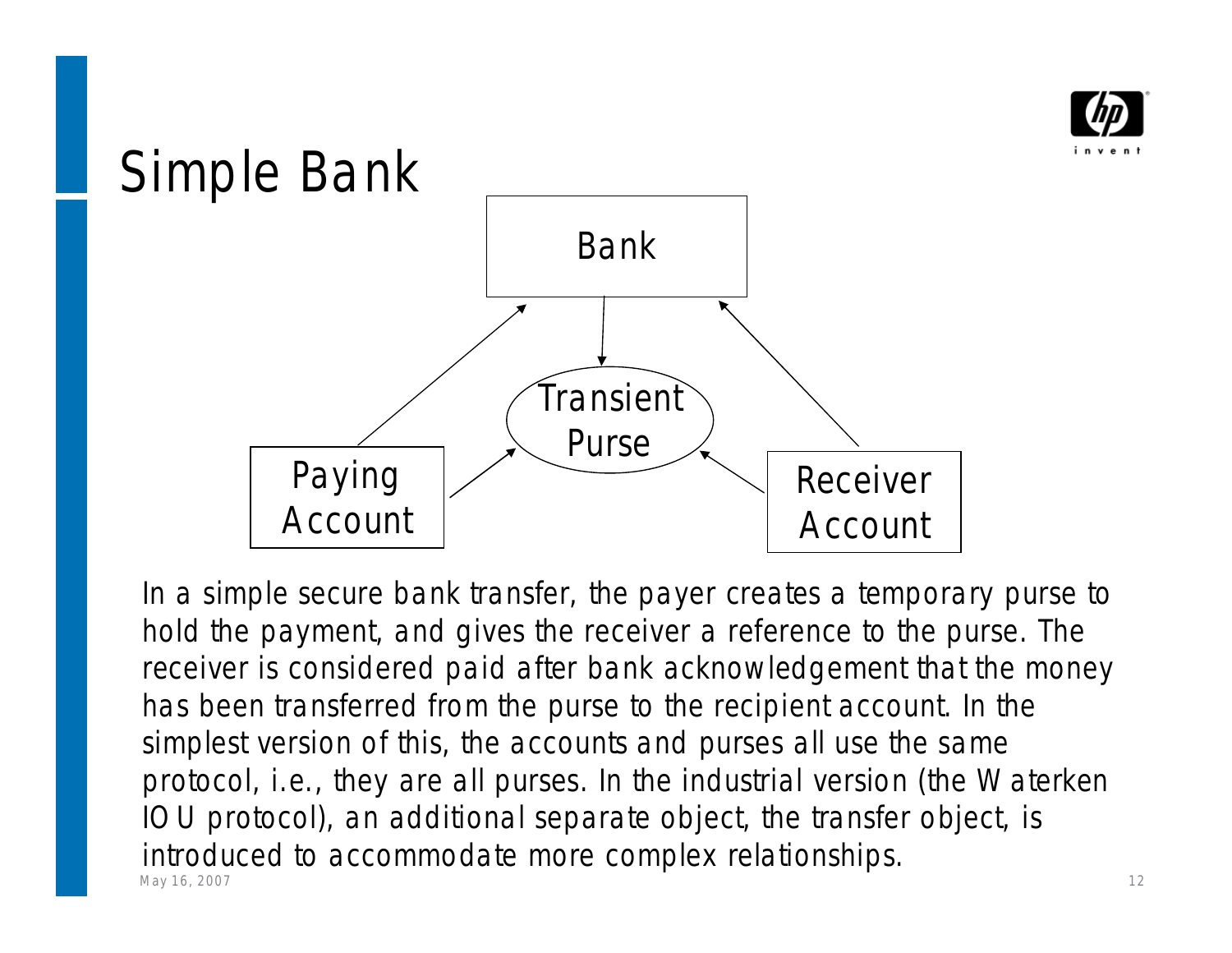



Мау 16, 2007 <del>12 года од 2008 година, којшто под става од 2008 година, којшто под става од 2</del>12 година и 12 година In a simple secure bank transfer, the payer creates a temporary purse to hold the payment, and gives the receiver a reference to the purse. The receiver is considered paid after bank acknowledgement that the money has been transferred from the purse to the recipient account. In the simplest version of this, the accounts and purses all use the same protocol, i.e., they are all purses. In the industrial version (the Waterken IOU protocol), an additional separate object, the transfer object, is introduced to accommodate more complex relationships.<br>May 16, 2007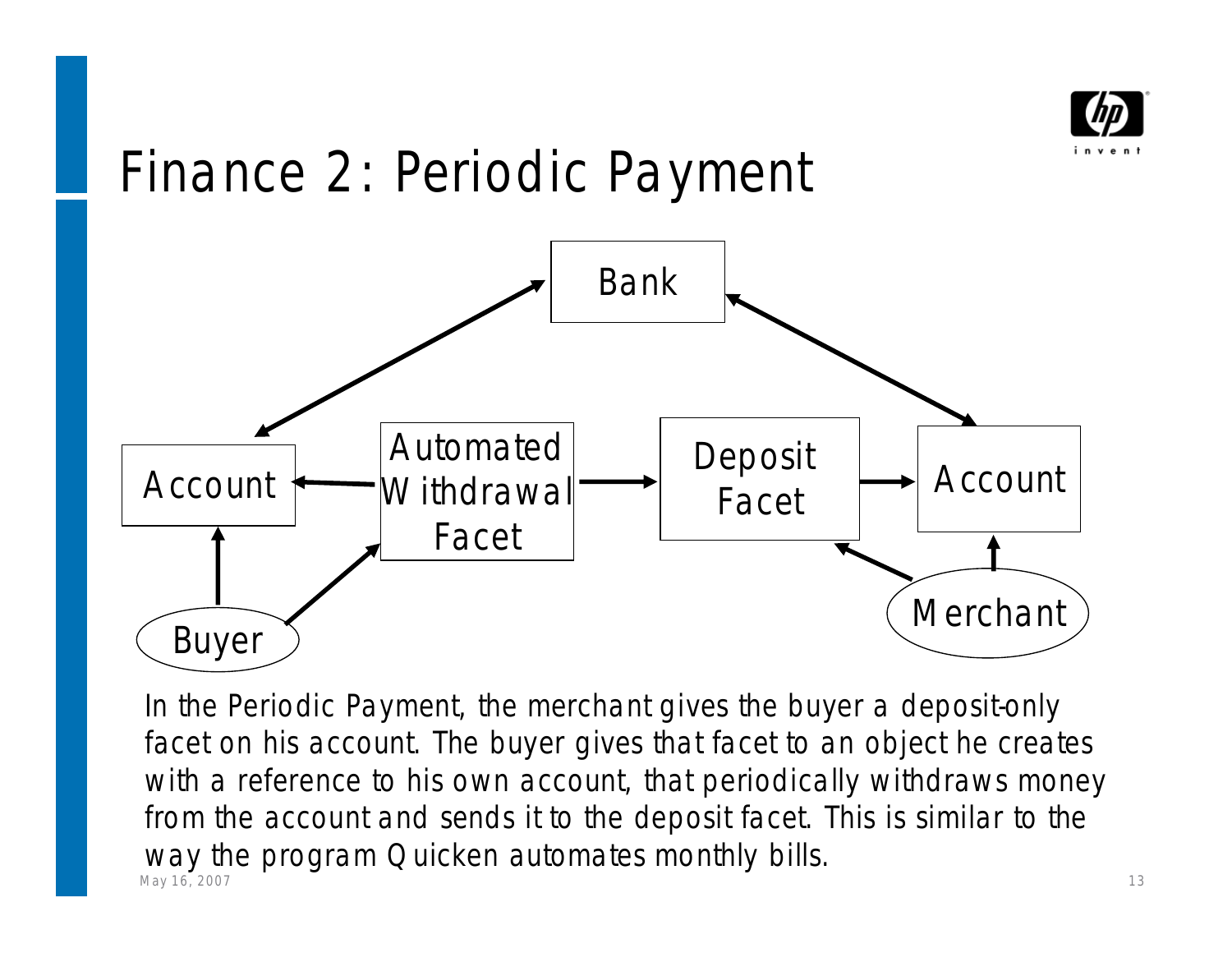

### Finance 2: Periodic Payment



May 16, 2007 2008 2009 2012 2022 2023 2024 2022 2022 2023 2024 2022 2023 2024 2022 2023 2024 2022 2023 2024 20 In the Periodic Payment, the merchant gives the buyer a deposit-only facet on his account. The buyer gives that facet to an object he creates with a reference to his own account, that periodically withdraws money from the account and sends it to the deposit facet. This is similar to the Way the program Quicken automates monthly bills.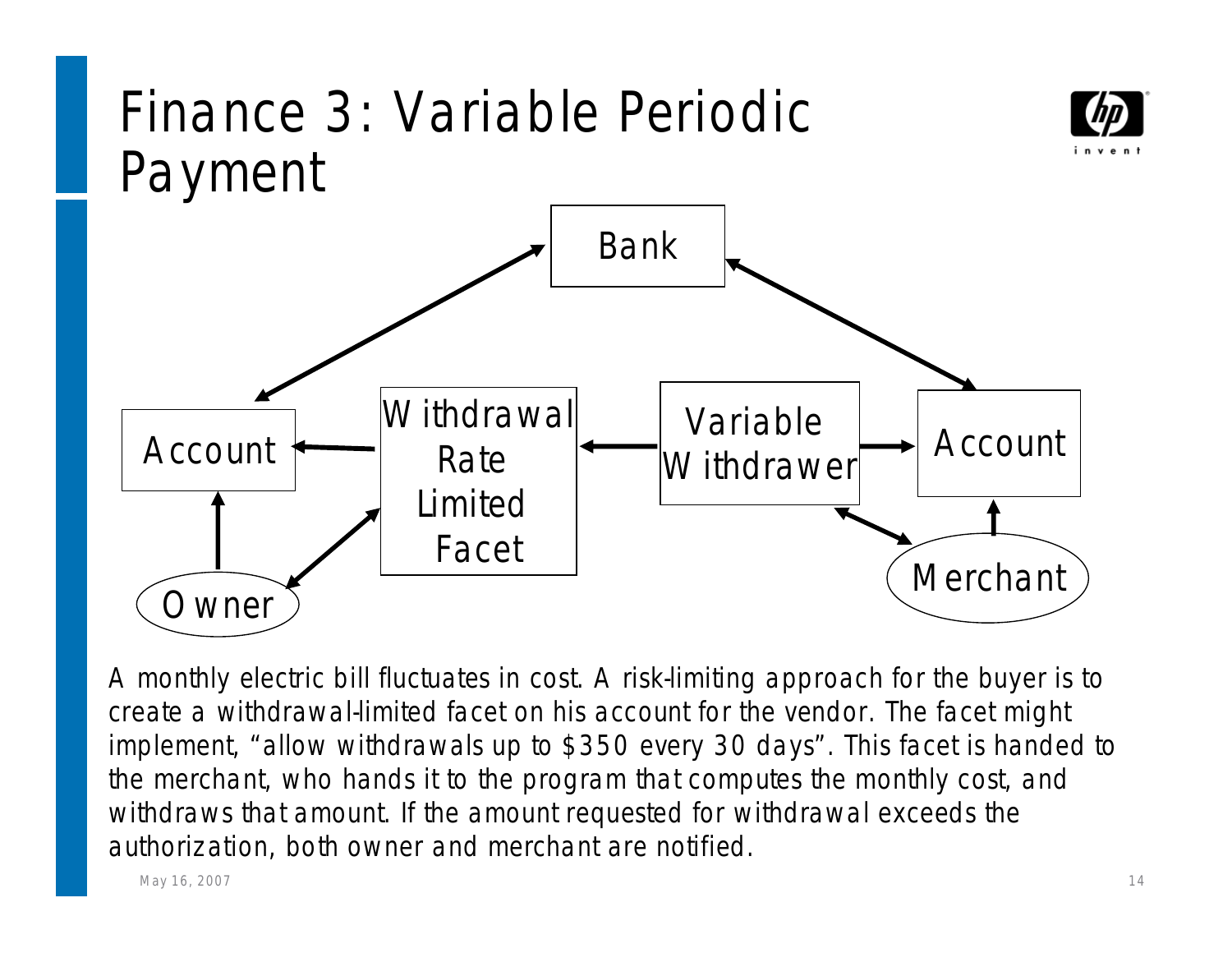

A monthly electric bill fluctuates in cost. A risk-limiting approach for the buyer is to create a withdrawal-limited facet on his account for the vendor. The facet might implement, "allow withdrawals up to \$350 every 30 days". This facet is handed to the merchant, who hands it to the program that computes the monthly cost, and withdraws that amount. If the amount requested for withdrawal exceeds the authorization, both owner and merchant are notified.

May 16, 2007 the contract of the contract of the contract of the contract of the contract of the contract of the contract of the contract of the contract of the contract of the contract of the contract of the contract of t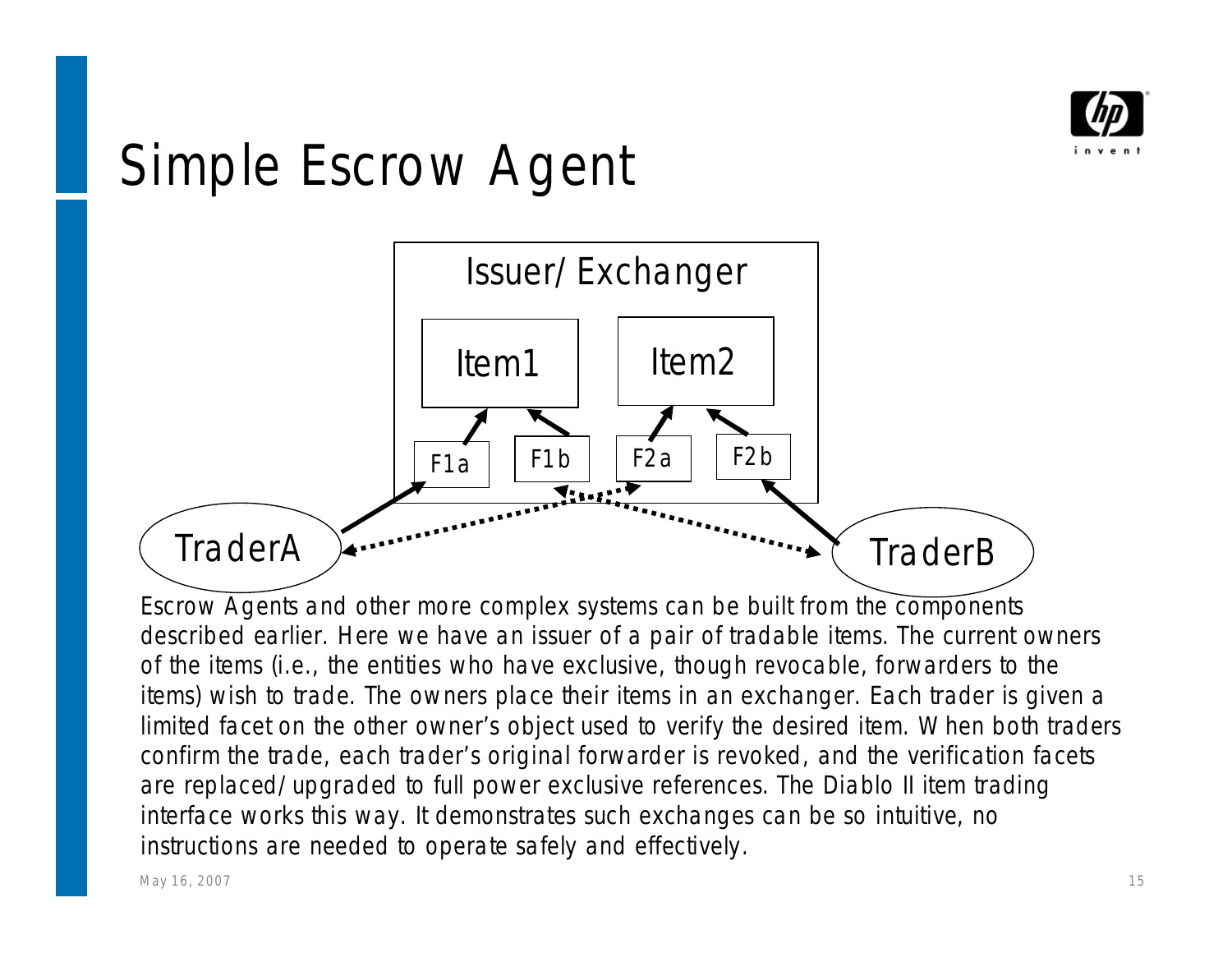

#### Simple Escrow Agent



Escrow Agents and other more complex systems can be built from the components described earlier. Here we have an issuer of a pair of tradable items. The current owners of the items (i.e., the entities who have exclusive, though revocable, forwarders to the items) wish to trade. The owners place their items in an exchanger. Each trader is given a limited facet on the other owner's object used to verify the desired item. When both traders confirm the trade, each trader's original forwarder is revoked, and the verification facets are replaced/upgraded to full power exclusive references. The Diablo II item trading interface works this way. It demonstrates such exchanges can be so intuitive, no instructions are needed to operate safely and effectively.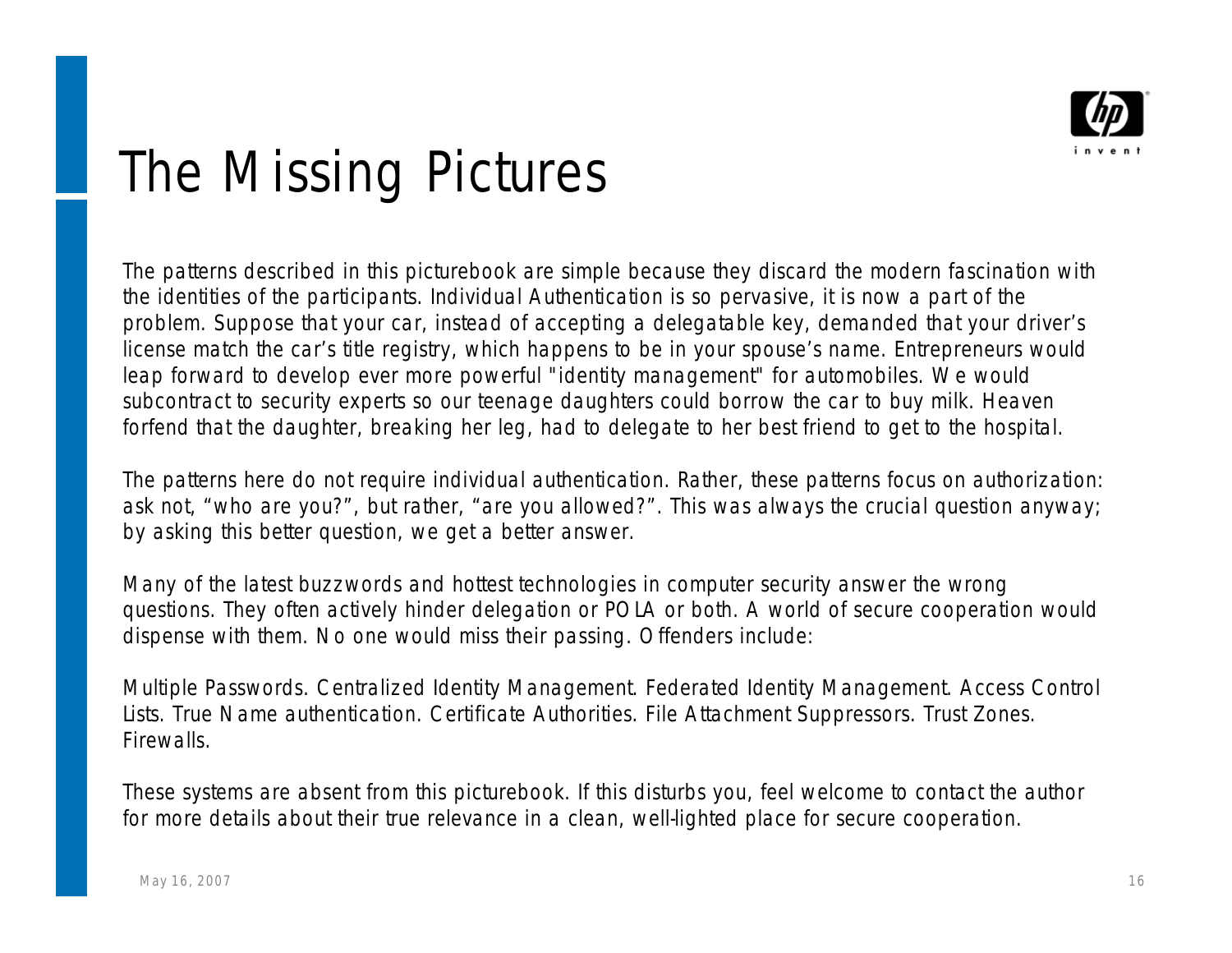

#### The Missing Pictures

The patterns described in this picturebook are simple because they discard the modern fascination with the identities of the participants. Individual Authentication is so pervasive, it is now a part of the problem. Suppose that your car, instead of accepting a delegatable key, demanded that your driver's license match the car's title registry, which happens to be in your spouse's name. Entrepreneurs would leap forward to develop ever more powerful "identity management" for automobiles. We would subcontract to security experts so our teenage daughters could borrow the car to buy milk. Heaven forfend that the daughter, breaking her leg, had to delegate to her best friend to get to the hospital.

The patterns here do not require individual authentication. Rather, these patterns focus on authorization: ask not, "who are you?", but rather, "are you allowed?". This was always the crucial question anyway; by asking this better question, we get a better answer.

Many of the latest buzzwords and hottest technologies in computer security answer the wrong questions. They often actively hinder delegation or POLA or both. A world of secure cooperation would dispense with them. No one would miss their passing. Offenders include:

Multiple Passwords. Centralized Identity Management. Federated Identity Management. Access Control Lists. True Name authentication. Certificate Authorities. File Attachment Suppressors. Trust Zones. Firewalls.

These systems are absent from this picturebook. If this disturbs you, feel welcome to contact the author for more details about their true relevance in a clean, well-lighted place for secure cooperation.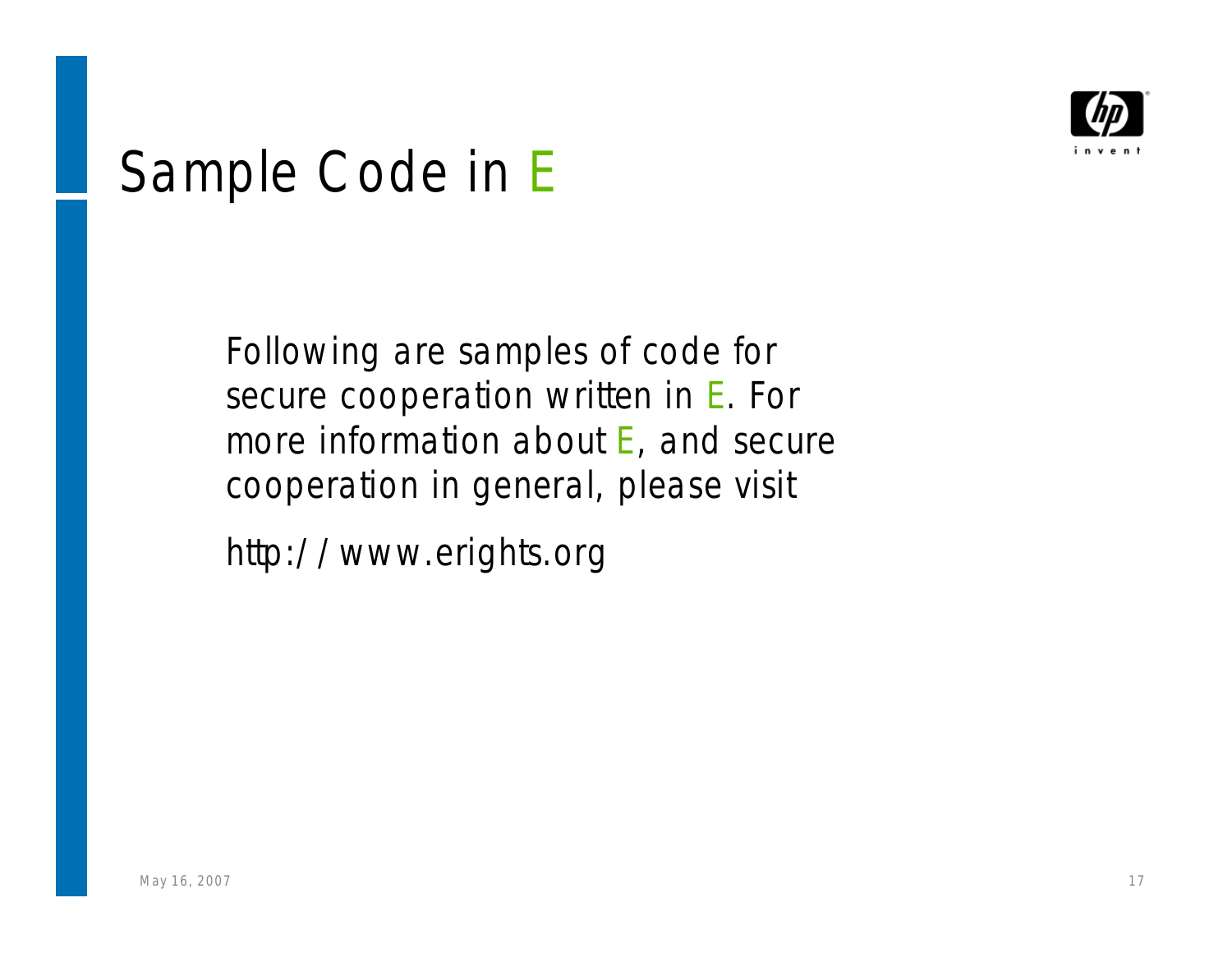

### Sample Code in *E*

Following are samples of code for secure cooperation written in *E*. For more information about *E*, and secure cooperation in general, please visit

http://www.erights.org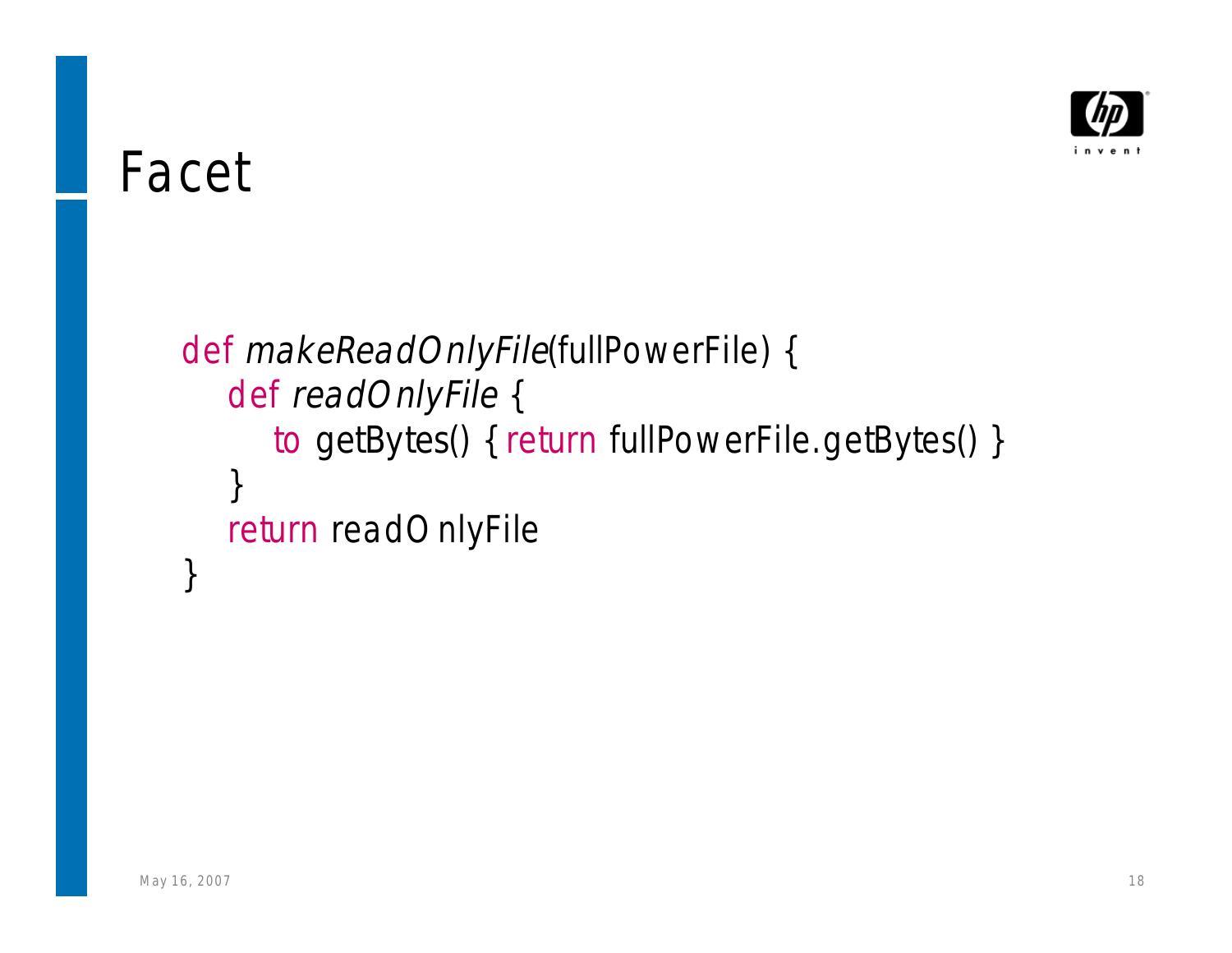

#### Facet

def makeReadOnlyFile(*fullPowerFile*) { def readOnlyFile { to getBytes() { return fullPowerFile.getBytes() } } return readOnlyFile }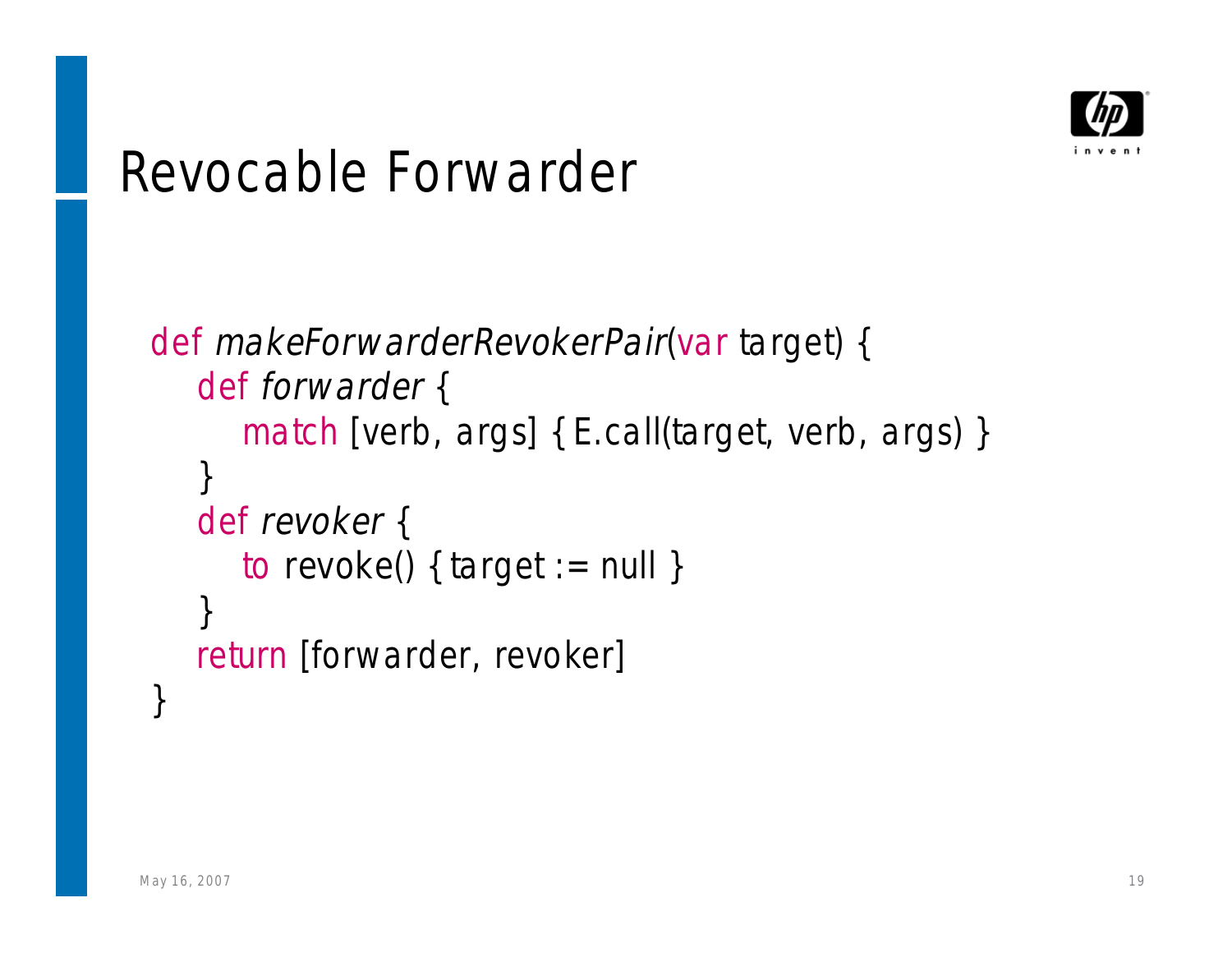

#### Revocable Forwarder

```
def makeForwarderRevokerPair(var target) {
   def forwarder {
      match [verb, args] { E.call(target, verb, args) }
   }
   def revoker {
      to revoke() { target := null }
   }
   return [forwarder, revoker]
}
```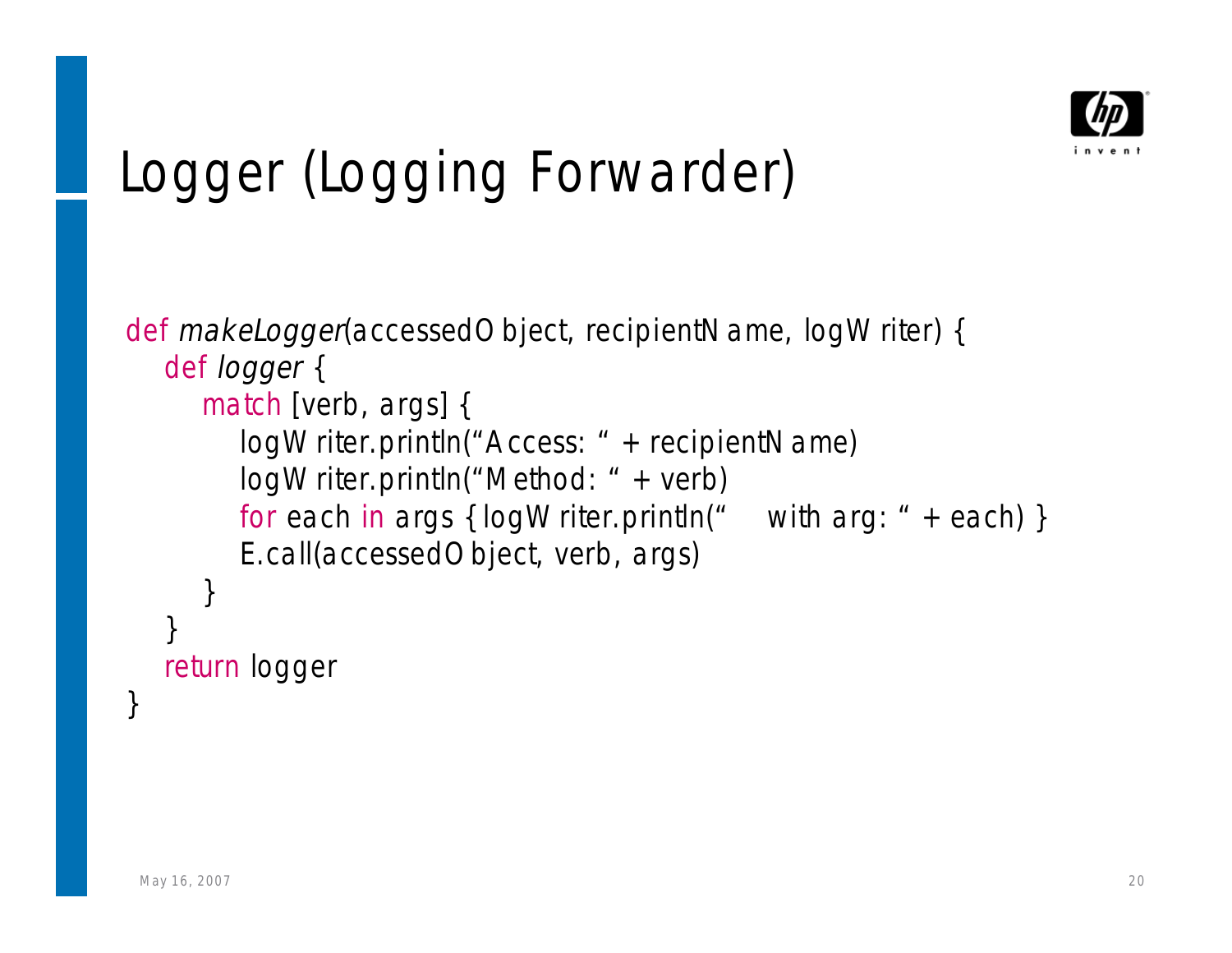

# Logger (Logging Forwarder)

```
def makeLogger(accessedObject, recipientName, logWriter) {
   def logger {
     match [verb, args] {
        logWriter.println("Access: " + recipientName)
        logWriter.println("Method: " + verb)
        for each in args { logWriter.println(" with arg: " + each) }
        E.call(accessedObject, verb, args)
     }
   }
  return logger
}
```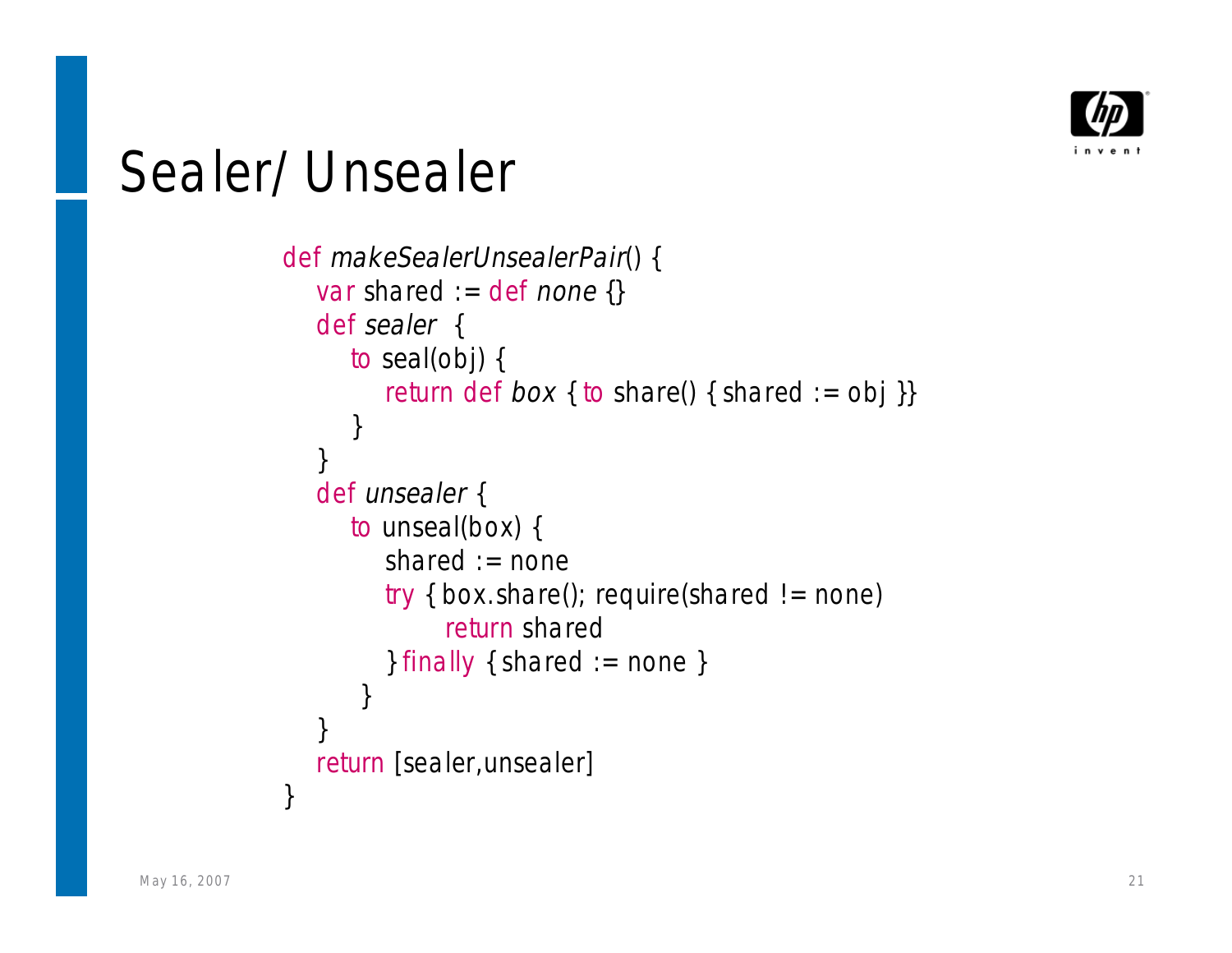

#### Sealer/Unsealer

```
def makeSealerUnsealerPair() {
   var shared := def none {}
   def sealer {
     to seal(obj) {
         return def box { to share() { shared := obj }}
      }
   }
   def unsealer {
     to unseal(box) {
         shared := none
        try { box.share(); require(shared != none)
              return shared
         } finally { shared := none }
       }
   }
   return [sealer,unsealer]
}
```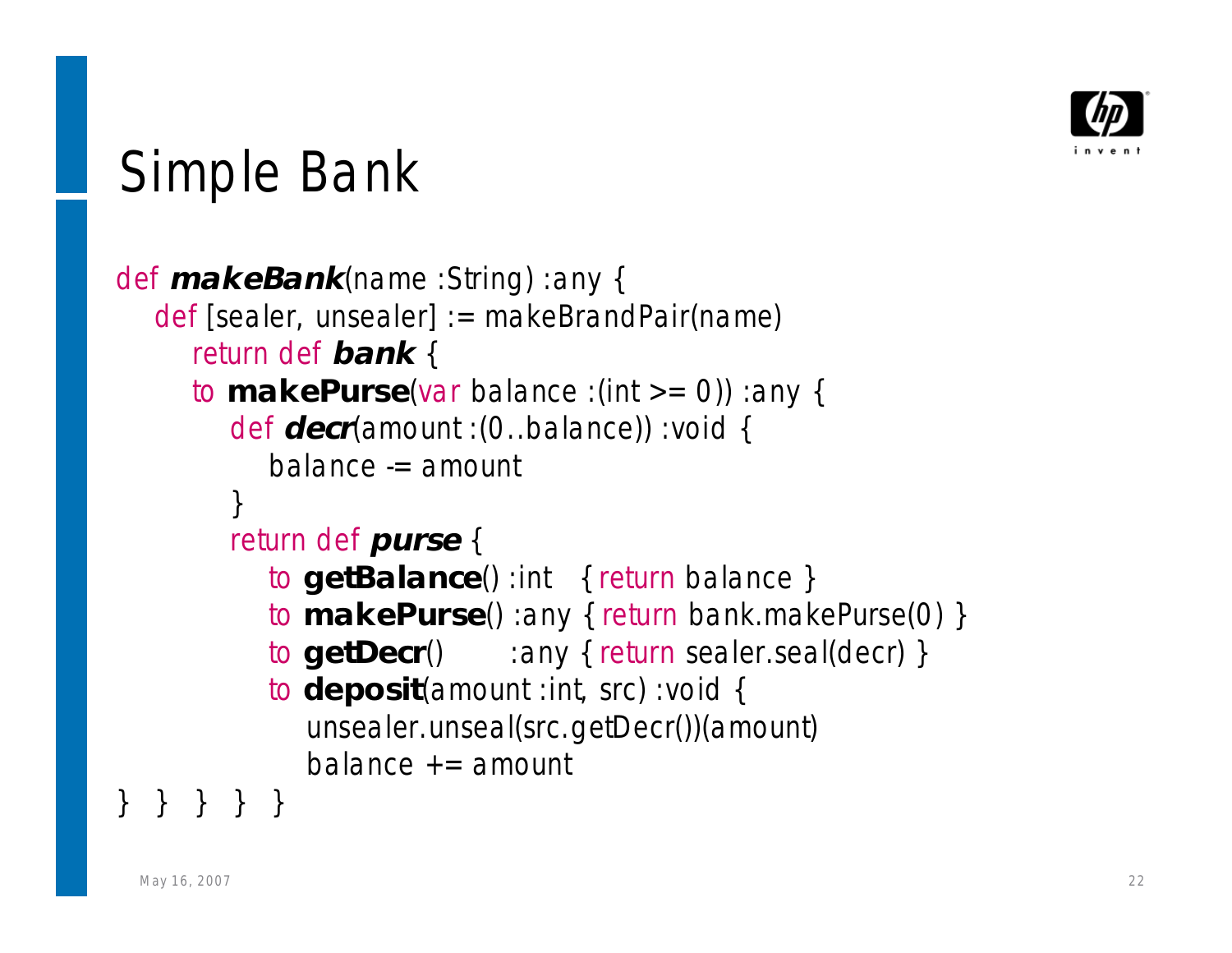

# Simple Bank

```
def makeBank(name :String) :any {
  def [sealer, unsealer] := makeBrandPair(name)
     return def bank {
     to makePurse(var balance :(int >= 0)) :any {
        def decr(amount :(0..balance)) :void {
          balance -= amount
        }
        return def purse {
          to getBalance() :int { return balance }
          to makePurse() :any { return bank.makePurse(0) }
          to getDecr() :any { return sealer.seal(decr) }
          to deposit(amount :int, src) :void {
             unsealer.unseal(src.getDecr())(amount)
             balance += amount} } } } }
```